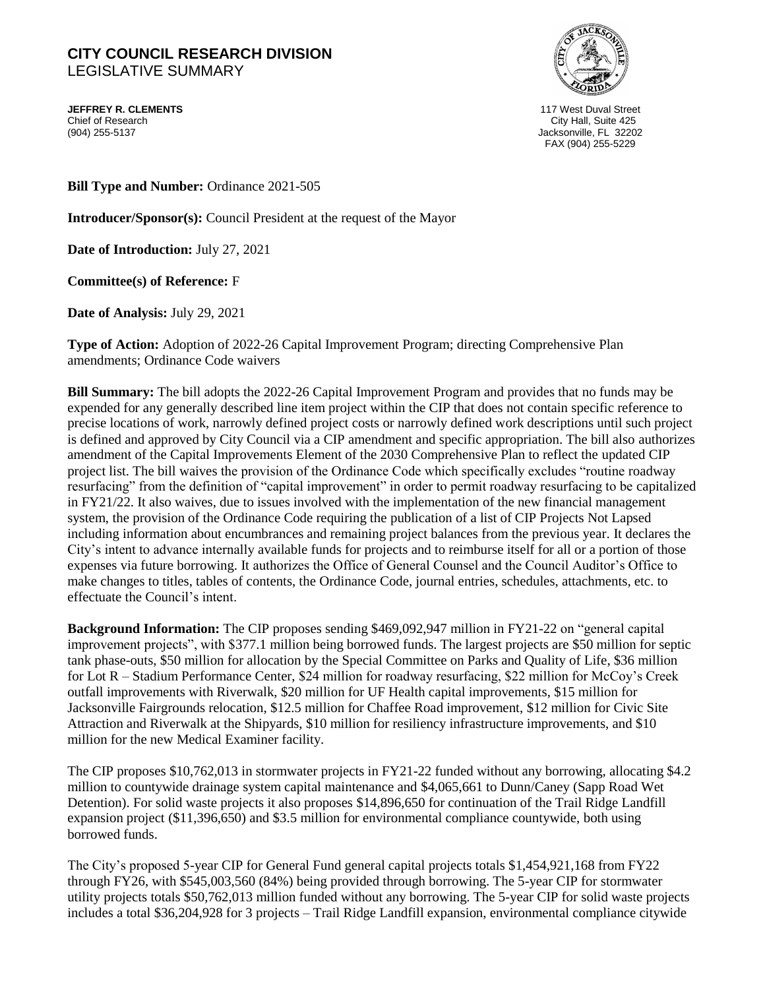## **CITY COUNCIL RESEARCH DIVISION**  LEGISLATIVE SUMMARY

**JEFFREY R. CLEMENTS** 117 West Duval Street Chief of Research City Hall, Suite 425



Jacksonville, FL 32202 FAX (904) 255-5229

**Bill Type and Number:** Ordinance 2021-505

**Introducer/Sponsor(s):** Council President at the request of the Mayor

**Date of Introduction:** July 27, 2021

**Committee(s) of Reference:** F

**Date of Analysis:** July 29, 2021

**Type of Action:** Adoption of 2022-26 Capital Improvement Program; directing Comprehensive Plan amendments; Ordinance Code waivers

**Bill Summary:** The bill adopts the 2022-26 Capital Improvement Program and provides that no funds may be expended for any generally described line item project within the CIP that does not contain specific reference to precise locations of work, narrowly defined project costs or narrowly defined work descriptions until such project is defined and approved by City Council via a CIP amendment and specific appropriation. The bill also authorizes amendment of the Capital Improvements Element of the 2030 Comprehensive Plan to reflect the updated CIP project list. The bill waives the provision of the Ordinance Code which specifically excludes "routine roadway resurfacing" from the definition of "capital improvement" in order to permit roadway resurfacing to be capitalized in FY21/22. It also waives, due to issues involved with the implementation of the new financial management system, the provision of the Ordinance Code requiring the publication of a list of CIP Projects Not Lapsed including information about encumbrances and remaining project balances from the previous year. It declares the City's intent to advance internally available funds for projects and to reimburse itself for all or a portion of those expenses via future borrowing. It authorizes the Office of General Counsel and the Council Auditor's Office to make changes to titles, tables of contents, the Ordinance Code, journal entries, schedules, attachments, etc. to effectuate the Council's intent.

**Background Information:** The CIP proposes sending \$469,092,947 million in FY21-22 on "general capital improvement projects", with \$377.1 million being borrowed funds. The largest projects are \$50 million for septic tank phase-outs, \$50 million for allocation by the Special Committee on Parks and Quality of Life, \$36 million for Lot R – Stadium Performance Center, \$24 million for roadway resurfacing, \$22 million for McCoy's Creek outfall improvements with Riverwalk, \$20 million for UF Health capital improvements, \$15 million for Jacksonville Fairgrounds relocation, \$12.5 million for Chaffee Road improvement, \$12 million for Civic Site Attraction and Riverwalk at the Shipyards, \$10 million for resiliency infrastructure improvements, and \$10 million for the new Medical Examiner facility.

The CIP proposes \$10,762,013 in stormwater projects in FY21-22 funded without any borrowing, allocating \$4.2 million to countywide drainage system capital maintenance and \$4,065,661 to Dunn/Caney (Sapp Road Wet Detention). For solid waste projects it also proposes \$14,896,650 for continuation of the Trail Ridge Landfill expansion project (\$11,396,650) and \$3.5 million for environmental compliance countywide, both using borrowed funds.

The City's proposed 5-year CIP for General Fund general capital projects totals \$1,454,921,168 from FY22 through FY26, with \$545,003,560 (84%) being provided through borrowing. The 5-year CIP for stormwater utility projects totals \$50,762,013 million funded without any borrowing. The 5-year CIP for solid waste projects includes a total \$36,204,928 for 3 projects – Trail Ridge Landfill expansion, environmental compliance citywide